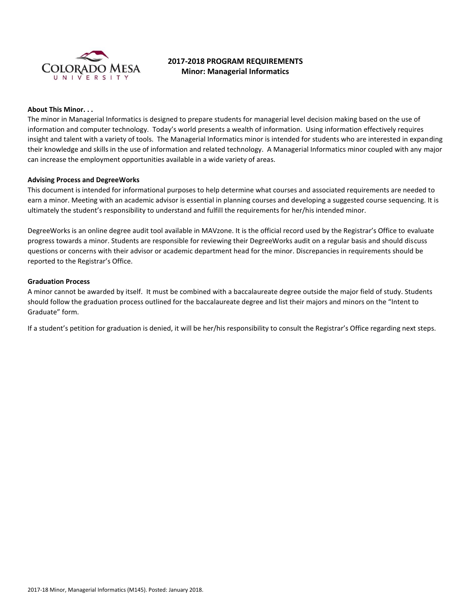

# **2017-2018 PROGRAM REQUIREMENTS Minor: Managerial Informatics**

### **About This Minor. . .**

The minor in Managerial Informatics is designed to prepare students for managerial level decision making based on the use of information and computer technology. Today's world presents a wealth of information. Using information effectively requires insight and talent with a variety of tools. The Managerial Informatics minor is intended for students who are interested in expanding their knowledge and skills in the use of information and related technology. A Managerial Informatics minor coupled with any major can increase the employment opportunities available in a wide variety of areas.

#### **Advising Process and DegreeWorks**

This document is intended for informational purposes to help determine what courses and associated requirements are needed to earn a minor. Meeting with an academic advisor is essential in planning courses and developing a suggested course sequencing. It is ultimately the student's responsibility to understand and fulfill the requirements for her/his intended minor.

DegreeWorks is an online degree audit tool available in MAVzone. It is the official record used by the Registrar's Office to evaluate progress towards a minor. Students are responsible for reviewing their DegreeWorks audit on a regular basis and should discuss questions or concerns with their advisor or academic department head for the minor. Discrepancies in requirements should be reported to the Registrar's Office.

#### **Graduation Process**

A minor cannot be awarded by itself. It must be combined with a baccalaureate degree outside the major field of study. Students should follow the graduation process outlined for the baccalaureate degree and list their majors and minors on the "Intent to Graduate" form.

If a student's petition for graduation is denied, it will be her/his responsibility to consult the Registrar's Office regarding next steps.